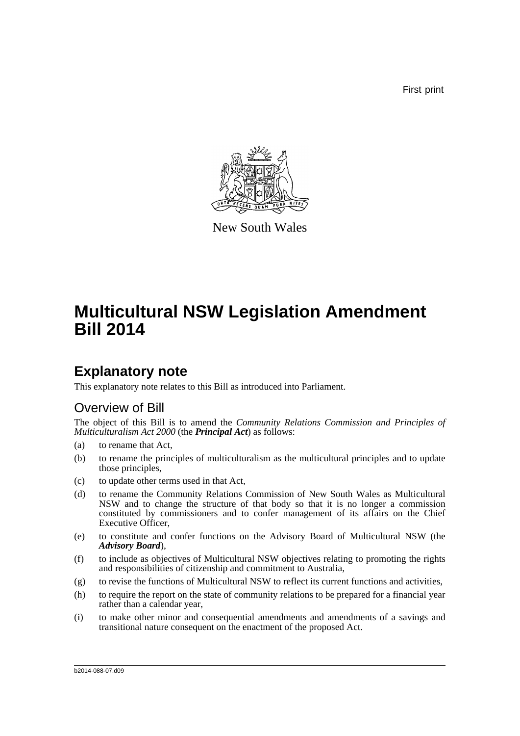First print



New South Wales

# **Multicultural NSW Legislation Amendment Bill 2014**

## **Explanatory note**

This explanatory note relates to this Bill as introduced into Parliament.

### Overview of Bill

The object of this Bill is to amend the *Community Relations Commission and Principles of Multiculturalism Act 2000* (the *Principal Act*) as follows:

- (a) to rename that Act,
- (b) to rename the principles of multiculturalism as the multicultural principles and to update those principles,
- (c) to update other terms used in that Act,
- (d) to rename the Community Relations Commission of New South Wales as Multicultural NSW and to change the structure of that body so that it is no longer a commission constituted by commissioners and to confer management of its affairs on the Chief Executive Officer,
- (e) to constitute and confer functions on the Advisory Board of Multicultural NSW (the *Advisory Board*),
- (f) to include as objectives of Multicultural NSW objectives relating to promoting the rights and responsibilities of citizenship and commitment to Australia,
- (g) to revise the functions of Multicultural NSW to reflect its current functions and activities,
- (h) to require the report on the state of community relations to be prepared for a financial year rather than a calendar year,
- (i) to make other minor and consequential amendments and amendments of a savings and transitional nature consequent on the enactment of the proposed Act.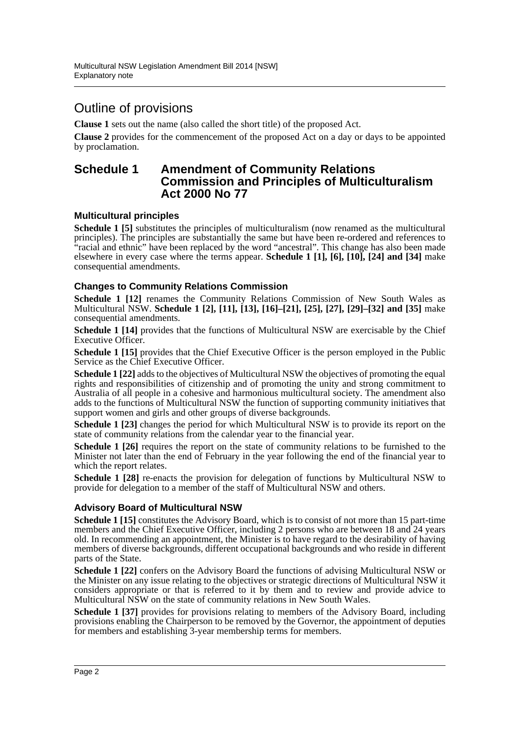### Outline of provisions

**Clause 1** sets out the name (also called the short title) of the proposed Act.

**Clause 2** provides for the commencement of the proposed Act on a day or days to be appointed by proclamation.

#### **Schedule 1 Amendment of Community Relations Commission and Principles of Multiculturalism Act 2000 No 77**

#### **Multicultural principles**

**Schedule 1 [5]** substitutes the principles of multiculturalism (now renamed as the multicultural principles). The principles are substantially the same but have been re-ordered and references to "racial and ethnic" have been replaced by the word "ancestral". This change has also been made elsewhere in every case where the terms appear. **Schedule 1 [1], [6], [10], [24] and [34]** make consequential amendments.

#### **Changes to Community Relations Commission**

**Schedule 1 [12]** renames the Community Relations Commission of New South Wales as Multicultural NSW. **Schedule 1 [2], [11], [13], [16]–[21], [25], [27], [29]–[32] and [35]** make consequential amendments.

**Schedule 1 [14]** provides that the functions of Multicultural NSW are exercisable by the Chief Executive Officer.

**Schedule 1 [15]** provides that the Chief Executive Officer is the person employed in the Public Service as the Chief Executive Officer.

**Schedule 1 [22]** adds to the objectives of Multicultural NSW the objectives of promoting the equal rights and responsibilities of citizenship and of promoting the unity and strong commitment to Australia of all people in a cohesive and harmonious multicultural society. The amendment also adds to the functions of Multicultural NSW the function of supporting community initiatives that support women and girls and other groups of diverse backgrounds.

**Schedule 1 [23]** changes the period for which Multicultural NSW is to provide its report on the state of community relations from the calendar year to the financial year.

**Schedule 1 [26]** requires the report on the state of community relations to be furnished to the Minister not later than the end of February in the year following the end of the financial year to which the report relates.

**Schedule 1 [28]** re-enacts the provision for delegation of functions by Multicultural NSW to provide for delegation to a member of the staff of Multicultural NSW and others.

#### **Advisory Board of Multicultural NSW**

**Schedule 1 [15]** constitutes the Advisory Board, which is to consist of not more than 15 part-time members and the Chief Executive Officer, including 2 persons who are between 18 and 24 years old. In recommending an appointment, the Minister is to have regard to the desirability of having members of diverse backgrounds, different occupational backgrounds and who reside in different parts of the State.

**Schedule 1 [22]** confers on the Advisory Board the functions of advising Multicultural NSW or the Minister on any issue relating to the objectives or strategic directions of Multicultural NSW it considers appropriate or that is referred to it by them and to review and provide advice to Multicultural NSW on the state of community relations in New South Wales.

**Schedule 1 [37]** provides for provisions relating to members of the Advisory Board, including provisions enabling the Chairperson to be removed by the Governor, the appointment of deputies for members and establishing 3-year membership terms for members.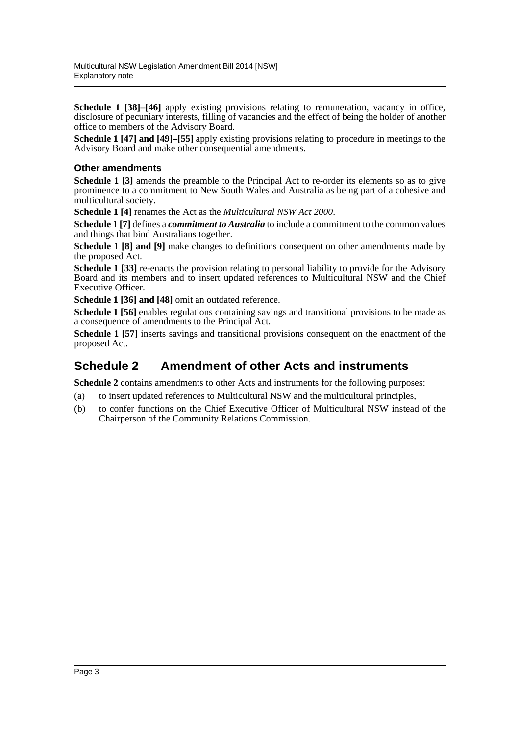**Schedule 1 [38]–[46]** apply existing provisions relating to remuneration, vacancy in office, disclosure of pecuniary interests, filling of vacancies and the effect of being the holder of another office to members of the Advisory Board.

**Schedule 1 [47] and [49]–[55]** apply existing provisions relating to procedure in meetings to the Advisory Board and make other consequential amendments.

#### **Other amendments**

**Schedule 1 [3]** amends the preamble to the Principal Act to re-order its elements so as to give prominence to a commitment to New South Wales and Australia as being part of a cohesive and multicultural society.

**Schedule 1 [4]** renames the Act as the *Multicultural NSW Act 2000*.

**Schedule 1 [7]** defines a *commitment to Australia* to include a commitment to the common values and things that bind Australians together.

**Schedule 1 [8] and [9]** make changes to definitions consequent on other amendments made by the proposed Act.

**Schedule 1 [33]** re-enacts the provision relating to personal liability to provide for the Advisory Board and its members and to insert updated references to Multicultural NSW and the Chief Executive Officer.

**Schedule 1 [36] and [48]** omit an outdated reference.

**Schedule 1 [56]** enables regulations containing savings and transitional provisions to be made as a consequence of amendments to the Principal Act.

**Schedule 1 [57]** inserts savings and transitional provisions consequent on the enactment of the proposed Act.

### **Schedule 2 Amendment of other Acts and instruments**

**Schedule 2** contains amendments to other Acts and instruments for the following purposes:

- (a) to insert updated references to Multicultural NSW and the multicultural principles,
- (b) to confer functions on the Chief Executive Officer of Multicultural NSW instead of the Chairperson of the Community Relations Commission.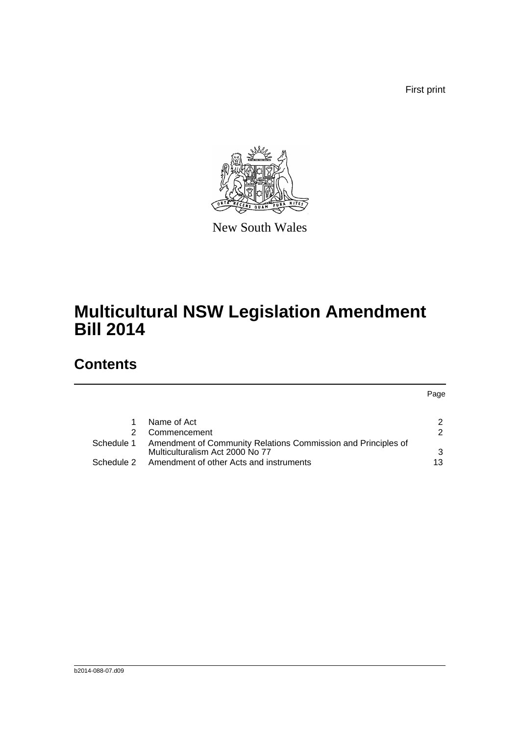First print

Page



New South Wales

# **Multicultural NSW Legislation Amendment Bill 2014**

## **Contents**

|            | Name of Act                                                   |               |
|------------|---------------------------------------------------------------|---------------|
| 2          | Commencement                                                  | $\mathcal{D}$ |
| Schedule 1 | Amendment of Community Relations Commission and Principles of |               |
|            | Multiculturalism Act 2000 No 77                               | ર             |
| Schedule 2 | Amendment of other Acts and instruments                       | 13            |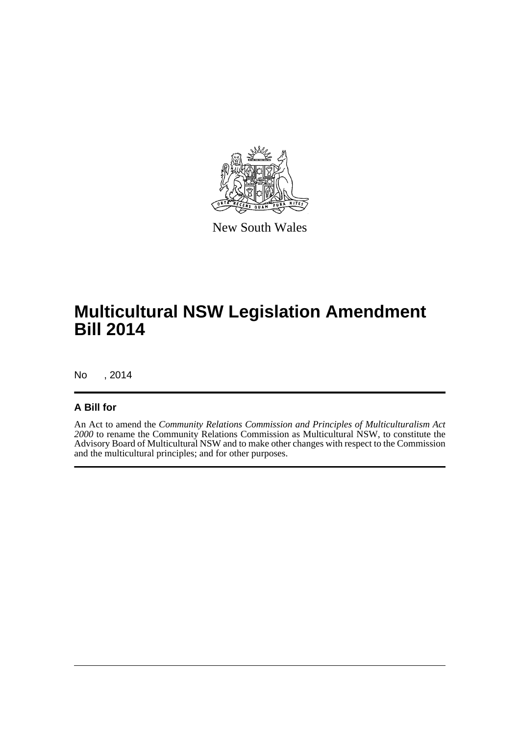

New South Wales

# **Multicultural NSW Legislation Amendment Bill 2014**

No , 2014

#### **A Bill for**

An Act to amend the *Community Relations Commission and Principles of Multiculturalism Act 2000* to rename the Community Relations Commission as Multicultural NSW, to constitute the Advisory Board of Multicultural NSW and to make other changes with respect to the Commission and the multicultural principles; and for other purposes.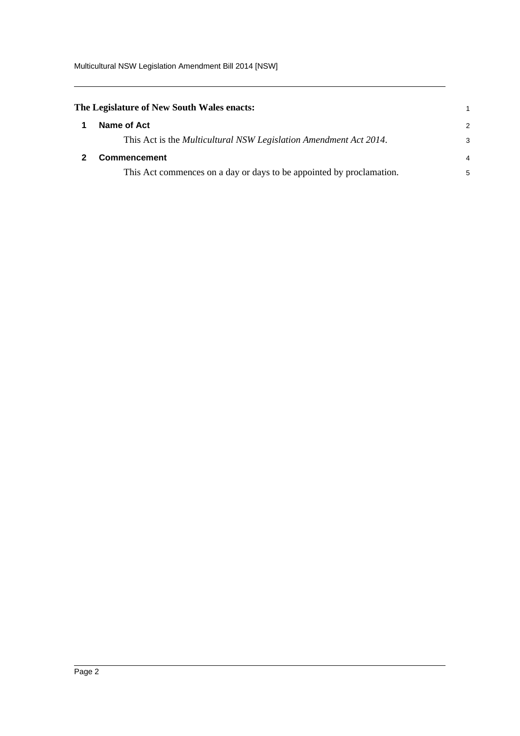<span id="page-5-1"></span><span id="page-5-0"></span>

| The Legislature of New South Wales enacts: |                                                                      |               |  |
|--------------------------------------------|----------------------------------------------------------------------|---------------|--|
| 1                                          | Name of Act                                                          | $\mathcal{P}$ |  |
|                                            | This Act is the Multicultural NSW Legislation Amendment Act 2014.    | 3             |  |
|                                            | Commencement                                                         | 4             |  |
|                                            | This Act commences on a day or days to be appointed by proclamation. | 5             |  |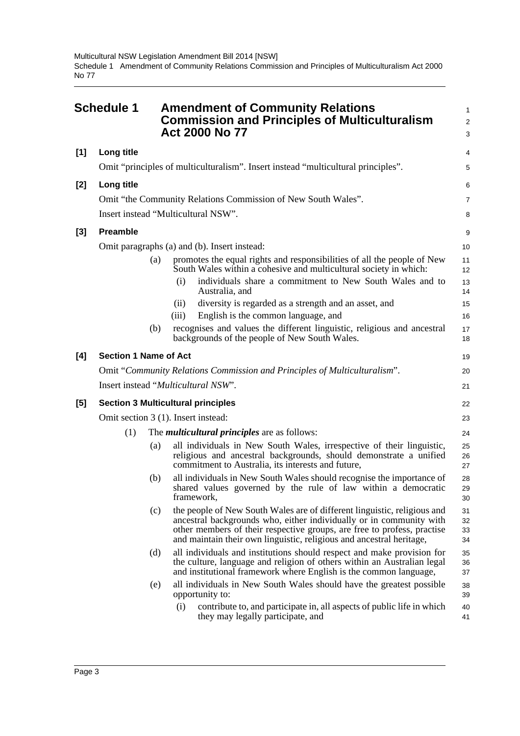<span id="page-6-0"></span>

|     | <b>Schedule 1</b>                         |     |       | <b>Amendment of Community Relations</b><br><b>Commission and Principles of Multiculturalism</b><br><b>Act 2000 No 77</b>                                                                                                                                                                           | 1<br>$\overline{2}$<br>3 |
|-----|-------------------------------------------|-----|-------|----------------------------------------------------------------------------------------------------------------------------------------------------------------------------------------------------------------------------------------------------------------------------------------------------|--------------------------|
| [1] | Long title                                |     |       |                                                                                                                                                                                                                                                                                                    | 4                        |
|     |                                           |     |       | Omit "principles of multiculturalism". Insert instead "multicultural principles".                                                                                                                                                                                                                  | 5                        |
| [2] | Long title                                |     |       |                                                                                                                                                                                                                                                                                                    | 6                        |
|     |                                           |     |       | Omit "the Community Relations Commission of New South Wales".                                                                                                                                                                                                                                      | $\overline{7}$           |
|     | Insert instead "Multicultural NSW".       |     |       |                                                                                                                                                                                                                                                                                                    | 8                        |
| [3] | <b>Preamble</b>                           |     |       |                                                                                                                                                                                                                                                                                                    | 9                        |
|     |                                           |     |       | Omit paragraphs (a) and (b). Insert instead:                                                                                                                                                                                                                                                       | 10                       |
|     |                                           | (a) |       | promotes the equal rights and responsibilities of all the people of New<br>South Wales within a cohesive and multicultural society in which:                                                                                                                                                       | 11<br>12                 |
|     |                                           |     | (i)   | individuals share a commitment to New South Wales and to<br>Australia, and                                                                                                                                                                                                                         | 13<br>14                 |
|     |                                           |     | (ii)  | diversity is regarded as a strength and an asset, and                                                                                                                                                                                                                                              | 15                       |
|     |                                           |     | (iii) | English is the common language, and                                                                                                                                                                                                                                                                | 16                       |
|     |                                           | (b) |       | recognises and values the different linguistic, religious and ancestral<br>backgrounds of the people of New South Wales.                                                                                                                                                                           | 17<br>18                 |
| [4] | <b>Section 1 Name of Act</b>              |     |       |                                                                                                                                                                                                                                                                                                    | 19                       |
|     |                                           |     |       | Omit "Community Relations Commission and Principles of Multiculturalism".                                                                                                                                                                                                                          | 20                       |
|     | Insert instead "Multicultural NSW".       |     |       |                                                                                                                                                                                                                                                                                                    | 21                       |
| [5] | <b>Section 3 Multicultural principles</b> |     |       |                                                                                                                                                                                                                                                                                                    | 22                       |
|     | Omit section 3 (1). Insert instead:       |     |       |                                                                                                                                                                                                                                                                                                    | 23                       |
|     | (1)                                       |     |       | The <i>multicultural principles</i> are as follows:                                                                                                                                                                                                                                                | 24                       |
|     |                                           | (a) |       | all individuals in New South Wales, irrespective of their linguistic,<br>religious and ancestral backgrounds, should demonstrate a unified<br>commitment to Australia, its interests and future,                                                                                                   | 25<br>26<br>27           |
|     |                                           | (b) |       | all individuals in New South Wales should recognise the importance of<br>shared values governed by the rule of law within a democratic<br>framework,                                                                                                                                               | 28<br>29<br>30           |
|     |                                           | (c) |       | the people of New South Wales are of different linguistic, religious and<br>ancestral backgrounds who, either individually or in community with<br>other members of their respective groups, are free to profess, practise<br>and maintain their own linguistic, religious and ancestral heritage, | 31<br>32<br>33<br>34     |
|     |                                           | (d) |       | all individuals and institutions should respect and make provision for<br>the culture, language and religion of others within an Australian legal<br>and institutional framework where English is the common language,                                                                             | 35<br>36<br>37           |
|     |                                           | (e) |       | all individuals in New South Wales should have the greatest possible<br>opportunity to:                                                                                                                                                                                                            | 38<br>39                 |
|     |                                           |     | (i)   | contribute to, and participate in, all aspects of public life in which<br>they may legally participate, and                                                                                                                                                                                        | 40<br>41                 |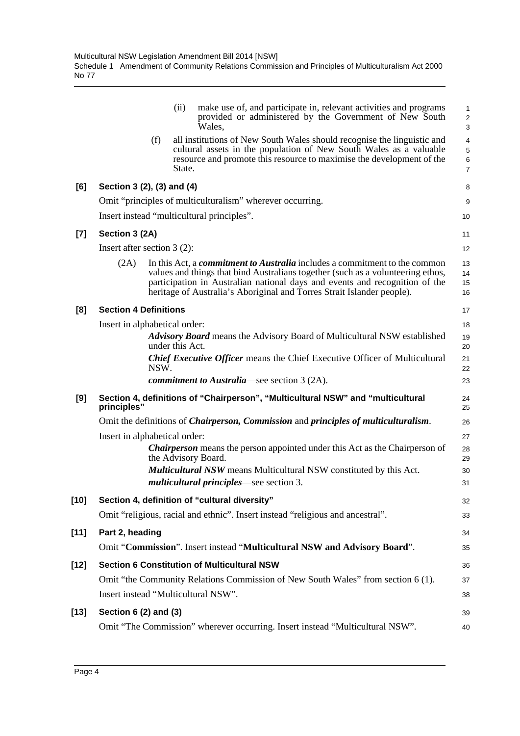| provided or administered by the Government of New South                                                                                       | 1<br>$\overline{\mathbf{c}}$<br>3                                                                                                                                                                                                                                                                                                                                                                                                                                                                                                                                                                                                                                                                                                                                                                                                                                                                                                                                                                                            |
|-----------------------------------------------------------------------------------------------------------------------------------------------|------------------------------------------------------------------------------------------------------------------------------------------------------------------------------------------------------------------------------------------------------------------------------------------------------------------------------------------------------------------------------------------------------------------------------------------------------------------------------------------------------------------------------------------------------------------------------------------------------------------------------------------------------------------------------------------------------------------------------------------------------------------------------------------------------------------------------------------------------------------------------------------------------------------------------------------------------------------------------------------------------------------------------|
| all institutions of New South Wales should recognise the linguistic and<br>cultural assets in the population of New South Wales as a valuable | 4<br>5<br>6<br>$\overline{7}$                                                                                                                                                                                                                                                                                                                                                                                                                                                                                                                                                                                                                                                                                                                                                                                                                                                                                                                                                                                                |
|                                                                                                                                               | 8                                                                                                                                                                                                                                                                                                                                                                                                                                                                                                                                                                                                                                                                                                                                                                                                                                                                                                                                                                                                                            |
|                                                                                                                                               | 9                                                                                                                                                                                                                                                                                                                                                                                                                                                                                                                                                                                                                                                                                                                                                                                                                                                                                                                                                                                                                            |
|                                                                                                                                               | 10                                                                                                                                                                                                                                                                                                                                                                                                                                                                                                                                                                                                                                                                                                                                                                                                                                                                                                                                                                                                                           |
|                                                                                                                                               | 11                                                                                                                                                                                                                                                                                                                                                                                                                                                                                                                                                                                                                                                                                                                                                                                                                                                                                                                                                                                                                           |
|                                                                                                                                               | 12                                                                                                                                                                                                                                                                                                                                                                                                                                                                                                                                                                                                                                                                                                                                                                                                                                                                                                                                                                                                                           |
|                                                                                                                                               | 13<br>14<br>15<br>16                                                                                                                                                                                                                                                                                                                                                                                                                                                                                                                                                                                                                                                                                                                                                                                                                                                                                                                                                                                                         |
|                                                                                                                                               | 17                                                                                                                                                                                                                                                                                                                                                                                                                                                                                                                                                                                                                                                                                                                                                                                                                                                                                                                                                                                                                           |
|                                                                                                                                               | 18                                                                                                                                                                                                                                                                                                                                                                                                                                                                                                                                                                                                                                                                                                                                                                                                                                                                                                                                                                                                                           |
|                                                                                                                                               | 19<br>20                                                                                                                                                                                                                                                                                                                                                                                                                                                                                                                                                                                                                                                                                                                                                                                                                                                                                                                                                                                                                     |
|                                                                                                                                               | 21<br>22                                                                                                                                                                                                                                                                                                                                                                                                                                                                                                                                                                                                                                                                                                                                                                                                                                                                                                                                                                                                                     |
|                                                                                                                                               | 23                                                                                                                                                                                                                                                                                                                                                                                                                                                                                                                                                                                                                                                                                                                                                                                                                                                                                                                                                                                                                           |
|                                                                                                                                               | 24<br>25                                                                                                                                                                                                                                                                                                                                                                                                                                                                                                                                                                                                                                                                                                                                                                                                                                                                                                                                                                                                                     |
|                                                                                                                                               | 26                                                                                                                                                                                                                                                                                                                                                                                                                                                                                                                                                                                                                                                                                                                                                                                                                                                                                                                                                                                                                           |
|                                                                                                                                               | 27                                                                                                                                                                                                                                                                                                                                                                                                                                                                                                                                                                                                                                                                                                                                                                                                                                                                                                                                                                                                                           |
|                                                                                                                                               | 28<br>29                                                                                                                                                                                                                                                                                                                                                                                                                                                                                                                                                                                                                                                                                                                                                                                                                                                                                                                                                                                                                     |
|                                                                                                                                               | 30<br>31                                                                                                                                                                                                                                                                                                                                                                                                                                                                                                                                                                                                                                                                                                                                                                                                                                                                                                                                                                                                                     |
|                                                                                                                                               | 32                                                                                                                                                                                                                                                                                                                                                                                                                                                                                                                                                                                                                                                                                                                                                                                                                                                                                                                                                                                                                           |
|                                                                                                                                               | 33                                                                                                                                                                                                                                                                                                                                                                                                                                                                                                                                                                                                                                                                                                                                                                                                                                                                                                                                                                                                                           |
|                                                                                                                                               | 34                                                                                                                                                                                                                                                                                                                                                                                                                                                                                                                                                                                                                                                                                                                                                                                                                                                                                                                                                                                                                           |
| Omit "Commission". Insert instead "Multicultural NSW and Advisory Board".                                                                     | 35                                                                                                                                                                                                                                                                                                                                                                                                                                                                                                                                                                                                                                                                                                                                                                                                                                                                                                                                                                                                                           |
|                                                                                                                                               | 36                                                                                                                                                                                                                                                                                                                                                                                                                                                                                                                                                                                                                                                                                                                                                                                                                                                                                                                                                                                                                           |
|                                                                                                                                               |                                                                                                                                                                                                                                                                                                                                                                                                                                                                                                                                                                                                                                                                                                                                                                                                                                                                                                                                                                                                                              |
| Omit "the Community Relations Commission of New South Wales" from section 6 (1).                                                              | 37                                                                                                                                                                                                                                                                                                                                                                                                                                                                                                                                                                                                                                                                                                                                                                                                                                                                                                                                                                                                                           |
|                                                                                                                                               | 38                                                                                                                                                                                                                                                                                                                                                                                                                                                                                                                                                                                                                                                                                                                                                                                                                                                                                                                                                                                                                           |
|                                                                                                                                               | 39                                                                                                                                                                                                                                                                                                                                                                                                                                                                                                                                                                                                                                                                                                                                                                                                                                                                                                                                                                                                                           |
|                                                                                                                                               | resource and promote this resource to maximise the development of the<br>In this Act, a <i>commitment to Australia</i> includes a commitment to the common<br>values and things that bind Australians together (such as a volunteering ethos,<br>participation in Australian national days and events and recognition of the<br>heritage of Australia's Aboriginal and Torres Strait Islander people).<br><b>Advisory Board</b> means the Advisory Board of Multicultural NSW established<br><b>Chief Executive Officer means the Chief Executive Officer of Multicultural</b><br>Section 4, definitions of "Chairperson", "Multicultural NSW" and "multicultural<br>Omit the definitions of <i>Chairperson, Commission</i> and <i>principles of multiculturalism</i> .<br><b>Chairperson</b> means the person appointed under this Act as the Chairperson of<br><b>Multicultural NSW</b> means Multicultural NSW constituted by this Act.<br>Omit "religious, racial and ethnic". Insert instead "religious and ancestral". |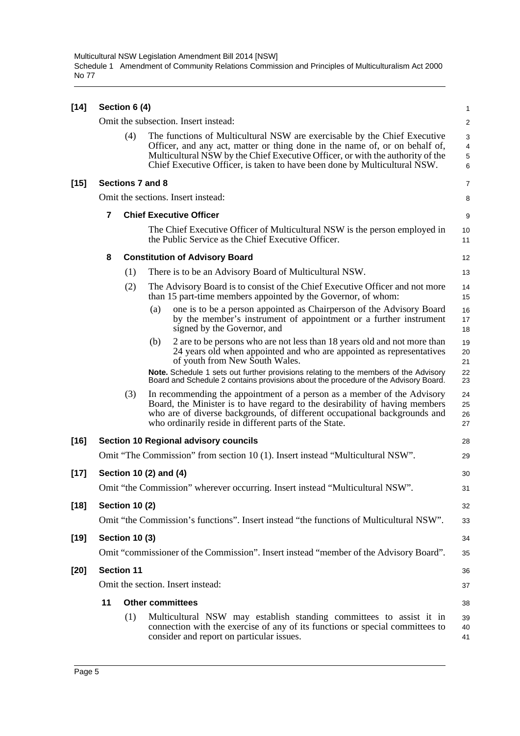| $[14]$ | Section 6 (4) |                       |                                                                                                                                                                                                                                                                                                                         |                                   |  |  |  |  |
|--------|---------------|-----------------------|-------------------------------------------------------------------------------------------------------------------------------------------------------------------------------------------------------------------------------------------------------------------------------------------------------------------------|-----------------------------------|--|--|--|--|
|        |               |                       | Omit the subsection. Insert instead:                                                                                                                                                                                                                                                                                    | $\overline{2}$                    |  |  |  |  |
|        |               | (4)                   | The functions of Multicultural NSW are exercisable by the Chief Executive<br>Officer, and any act, matter or thing done in the name of, or on behalf of,<br>Multicultural NSW by the Chief Executive Officer, or with the authority of the<br>Chief Executive Officer, is taken to have been done by Multicultural NSW. | 3<br>$\overline{4}$<br>5<br>$\,6$ |  |  |  |  |
| [15]   |               |                       | Sections 7 and 8                                                                                                                                                                                                                                                                                                        | 7                                 |  |  |  |  |
|        |               |                       | Omit the sections. Insert instead:                                                                                                                                                                                                                                                                                      | 8                                 |  |  |  |  |
|        | 7             |                       | <b>Chief Executive Officer</b>                                                                                                                                                                                                                                                                                          | 9                                 |  |  |  |  |
|        |               |                       | The Chief Executive Officer of Multicultural NSW is the person employed in<br>the Public Service as the Chief Executive Officer.                                                                                                                                                                                        | 10<br>11                          |  |  |  |  |
|        | 8             |                       | <b>Constitution of Advisory Board</b>                                                                                                                                                                                                                                                                                   | 12                                |  |  |  |  |
|        |               | (1)                   | There is to be an Advisory Board of Multicultural NSW.                                                                                                                                                                                                                                                                  | 13                                |  |  |  |  |
|        |               | (2)                   | The Advisory Board is to consist of the Chief Executive Officer and not more<br>than 15 part-time members appointed by the Governor, of whom:                                                                                                                                                                           | 14<br>15                          |  |  |  |  |
|        |               |                       | one is to be a person appointed as Chairperson of the Advisory Board<br>(a)<br>by the member's instrument of appointment or a further instrument<br>signed by the Governor, and                                                                                                                                         | 16<br>17<br>18                    |  |  |  |  |
|        |               |                       | 2 are to be persons who are not less than 18 years old and not more than<br>(b)<br>24 years old when appointed and who are appointed as representatives<br>of youth from New South Wales.                                                                                                                               | 19<br>20<br>21                    |  |  |  |  |
|        |               |                       | Note. Schedule 1 sets out further provisions relating to the members of the Advisory<br>Board and Schedule 2 contains provisions about the procedure of the Advisory Board.                                                                                                                                             | 22<br>23                          |  |  |  |  |
|        |               | (3)                   | In recommending the appointment of a person as a member of the Advisory<br>Board, the Minister is to have regard to the desirability of having members<br>who are of diverse backgrounds, of different occupational backgrounds and<br>who ordinarily reside in different parts of the State.                           | 24<br>25<br>26<br>27              |  |  |  |  |
| $[16]$ |               |                       | <b>Section 10 Regional advisory councils</b>                                                                                                                                                                                                                                                                            | 28                                |  |  |  |  |
|        |               |                       | Omit "The Commission" from section 10 (1). Insert instead "Multicultural NSW".                                                                                                                                                                                                                                          | 29                                |  |  |  |  |
| $[17]$ |               |                       | Section 10 (2) and (4)                                                                                                                                                                                                                                                                                                  | 30                                |  |  |  |  |
|        |               |                       | Omit "the Commission" wherever occurring. Insert instead "Multicultural NSW".                                                                                                                                                                                                                                           | 31                                |  |  |  |  |
| $[18]$ |               | <b>Section 10 (2)</b> |                                                                                                                                                                                                                                                                                                                         | 32                                |  |  |  |  |
|        |               |                       | Omit "the Commission's functions". Insert instead "the functions of Multicultural NSW".                                                                                                                                                                                                                                 | 33                                |  |  |  |  |
| [19]   |               | <b>Section 10 (3)</b> |                                                                                                                                                                                                                                                                                                                         | 34                                |  |  |  |  |
|        |               |                       | Omit "commissioner of the Commission". Insert instead "member of the Advisory Board".                                                                                                                                                                                                                                   | 35                                |  |  |  |  |
| [20]   |               | <b>Section 11</b>     |                                                                                                                                                                                                                                                                                                                         | 36                                |  |  |  |  |
|        |               |                       | Omit the section. Insert instead:                                                                                                                                                                                                                                                                                       | 37                                |  |  |  |  |
|        | 11            |                       | <b>Other committees</b>                                                                                                                                                                                                                                                                                                 | 38                                |  |  |  |  |
|        |               | (1)                   | Multicultural NSW may establish standing committees to assist it in<br>connection with the exercise of any of its functions or special committees to<br>consider and report on particular issues.                                                                                                                       | 39<br>40<br>41                    |  |  |  |  |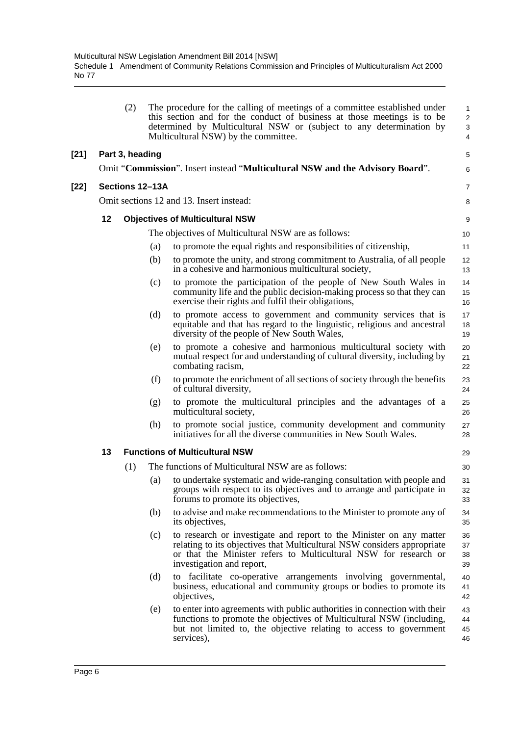|        |    | (2)             |     | The procedure for the calling of meetings of a committee established under<br>this section and for the conduct of business at those meetings is to be<br>determined by Multicultural NSW or (subject to any determination by<br>Multicultural NSW) by the committee. | $\mathbf{1}$<br>$\overline{c}$<br>3<br>4 |
|--------|----|-----------------|-----|----------------------------------------------------------------------------------------------------------------------------------------------------------------------------------------------------------------------------------------------------------------------|------------------------------------------|
| $[21]$ |    | Part 3, heading |     |                                                                                                                                                                                                                                                                      | $\mathbf 5$                              |
|        |    |                 |     | Omit "Commission". Insert instead "Multicultural NSW and the Advisory Board".                                                                                                                                                                                        | 6                                        |
| $[22]$ |    | Sections 12-13A |     |                                                                                                                                                                                                                                                                      | $\overline{7}$                           |
|        |    |                 |     | Omit sections 12 and 13. Insert instead:                                                                                                                                                                                                                             | 8                                        |
|        | 12 |                 |     | <b>Objectives of Multicultural NSW</b>                                                                                                                                                                                                                               | 9                                        |
|        |    |                 |     | The objectives of Multicultural NSW are as follows:                                                                                                                                                                                                                  | 10                                       |
|        |    |                 | (a) | to promote the equal rights and responsibilities of citizenship,                                                                                                                                                                                                     | 11                                       |
|        |    |                 | (b) | to promote the unity, and strong commitment to Australia, of all people<br>in a cohesive and harmonious multicultural society,                                                                                                                                       | 12<br>13                                 |
|        |    |                 | (c) | to promote the participation of the people of New South Wales in<br>community life and the public decision-making process so that they can<br>exercise their rights and fulfil their obligations,                                                                    | 14<br>15<br>16                           |
|        |    |                 | (d) | to promote access to government and community services that is<br>equitable and that has regard to the linguistic, religious and ancestral<br>diversity of the people of New South Wales,                                                                            | 17<br>18<br>19                           |
|        |    |                 | (e) | to promote a cohesive and harmonious multicultural society with<br>mutual respect for and understanding of cultural diversity, including by<br>combating racism,                                                                                                     | 20<br>21<br>22                           |
|        |    |                 | (f) | to promote the enrichment of all sections of society through the benefits<br>of cultural diversity,                                                                                                                                                                  | 23<br>24                                 |
|        |    |                 | (g) | to promote the multicultural principles and the advantages of a<br>multicultural society,                                                                                                                                                                            | 25<br>26                                 |
|        |    |                 | (h) | to promote social justice, community development and community<br>initiatives for all the diverse communities in New South Wales.                                                                                                                                    | 27<br>28                                 |
|        | 13 |                 |     | <b>Functions of Multicultural NSW</b>                                                                                                                                                                                                                                | 29                                       |
|        |    | (1)             |     | The functions of Multicultural NSW are as follows:                                                                                                                                                                                                                   | 30                                       |
|        |    |                 | (a) | to undertake systematic and wide-ranging consultation with people and<br>groups with respect to its objectives and to arrange and participate in<br>forums to promote its objectives,                                                                                | 31<br>32<br>33                           |
|        |    |                 | (b) | to advise and make recommendations to the Minister to promote any of<br>its objectives,                                                                                                                                                                              | 34<br>35                                 |
|        |    |                 | (c) | to research or investigate and report to the Minister on any matter<br>relating to its objectives that Multicultural NSW considers appropriate<br>or that the Minister refers to Multicultural NSW for research or<br>investigation and report,                      | 36<br>37<br>38<br>39                     |
|        |    |                 | (d) | to facilitate co-operative arrangements involving governmental,<br>business, educational and community groups or bodies to promote its<br>objectives,                                                                                                                | 40<br>41<br>42                           |
|        |    |                 | (e) | to enter into agreements with public authorities in connection with their<br>functions to promote the objectives of Multicultural NSW (including,<br>but not limited to, the objective relating to access to government<br>services),                                | 43<br>44<br>45<br>46                     |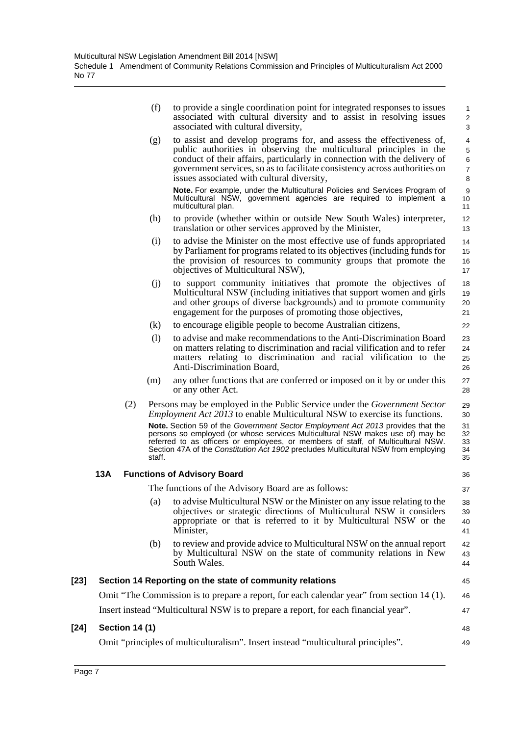|        |     |                       | (f)    | to provide a single coordination point for integrated responses to issues<br>associated with cultural diversity and to assist in resolving issues<br>associated with cultural diversity,                                                                                                                                                                                                                                                                                                                             | $\mathbf{1}$<br>$\overline{c}$<br>3               |
|--------|-----|-----------------------|--------|----------------------------------------------------------------------------------------------------------------------------------------------------------------------------------------------------------------------------------------------------------------------------------------------------------------------------------------------------------------------------------------------------------------------------------------------------------------------------------------------------------------------|---------------------------------------------------|
|        |     |                       | (g)    | to assist and develop programs for, and assess the effectiveness of,<br>public authorities in observing the multicultural principles in the<br>conduct of their affairs, particularly in connection with the delivery of<br>government services, so as to facilitate consistency across authorities on<br>issues associated with cultural diversity,                                                                                                                                                                 | 4<br>$\sqrt{5}$<br>$\,6$<br>$\boldsymbol{7}$<br>8 |
|        |     |                       |        | Note. For example, under the Multicultural Policies and Services Program of<br>Multicultural NSW, government agencies are required to implement a<br>multicultural plan.                                                                                                                                                                                                                                                                                                                                             | 9<br>10<br>11                                     |
|        |     |                       | (h)    | to provide (whether within or outside New South Wales) interpreter,<br>translation or other services approved by the Minister,                                                                                                                                                                                                                                                                                                                                                                                       | 12<br>13                                          |
|        |     |                       | (i)    | to advise the Minister on the most effective use of funds appropriated<br>by Parliament for programs related to its objectives (including funds for<br>the provision of resources to community groups that promote the<br>objectives of Multicultural NSW),                                                                                                                                                                                                                                                          | 14<br>15<br>16<br>17                              |
|        |     |                       | (i)    | to support community initiatives that promote the objectives of<br>Multicultural NSW (including initiatives that support women and girls<br>and other groups of diverse backgrounds) and to promote community<br>engagement for the purposes of promoting those objectives,                                                                                                                                                                                                                                          | 18<br>19<br>20<br>21                              |
|        |     |                       | (k)    | to encourage eligible people to become Australian citizens,                                                                                                                                                                                                                                                                                                                                                                                                                                                          | 22                                                |
|        |     |                       | (1)    | to advise and make recommendations to the Anti-Discrimination Board<br>on matters relating to discrimination and racial vilification and to refer<br>matters relating to discrimination and racial vilification to the<br>Anti-Discrimination Board,                                                                                                                                                                                                                                                                 | 23<br>24<br>25<br>26                              |
|        |     |                       | (m)    | any other functions that are conferred or imposed on it by or under this<br>or any other Act.                                                                                                                                                                                                                                                                                                                                                                                                                        | 27<br>28                                          |
|        |     | (2)                   | staff. | Persons may be employed in the Public Service under the <i>Government Sector</i><br><i>Employment Act 2013</i> to enable Multicultural NSW to exercise its functions.<br>Note. Section 59 of the Government Sector Employment Act 2013 provides that the<br>persons so employed (or whose services Multicultural NSW makes use of) may be<br>referred to as officers or employees, or members of staff, of Multicultural NSW.<br>Section 47A of the Constitution Act 1902 precludes Multicultural NSW from employing | 29<br>30<br>31<br>32<br>33<br>34<br>35            |
|        | 13A |                       |        | <b>Functions of Advisory Board</b>                                                                                                                                                                                                                                                                                                                                                                                                                                                                                   | 36                                                |
|        |     |                       |        | The functions of the Advisory Board are as follows:                                                                                                                                                                                                                                                                                                                                                                                                                                                                  | 37                                                |
|        |     |                       | (a)    | to advise Multicultural NSW or the Minister on any issue relating to the<br>objectives or strategic directions of Multicultural NSW it considers<br>appropriate or that is referred to it by Multicultural NSW or the<br>Minister,                                                                                                                                                                                                                                                                                   | 38<br>39<br>40<br>41                              |
|        |     |                       | (b)    | to review and provide advice to Multicultural NSW on the annual report<br>by Multicultural NSW on the state of community relations in New<br>South Wales.                                                                                                                                                                                                                                                                                                                                                            | 42<br>43<br>44                                    |
| $[23]$ |     |                       |        | Section 14 Reporting on the state of community relations                                                                                                                                                                                                                                                                                                                                                                                                                                                             | 45                                                |
|        |     |                       |        | Omit "The Commission is to prepare a report, for each calendar year" from section 14 (1).                                                                                                                                                                                                                                                                                                                                                                                                                            | 46                                                |
|        |     |                       |        | Insert instead "Multicultural NSW is to prepare a report, for each financial year".                                                                                                                                                                                                                                                                                                                                                                                                                                  | 47                                                |
| $[24]$ |     | <b>Section 14 (1)</b> |        |                                                                                                                                                                                                                                                                                                                                                                                                                                                                                                                      | 48                                                |
|        |     |                       |        | Omit "principles of multiculturalism". Insert instead "multicultural principles".                                                                                                                                                                                                                                                                                                                                                                                                                                    | 49                                                |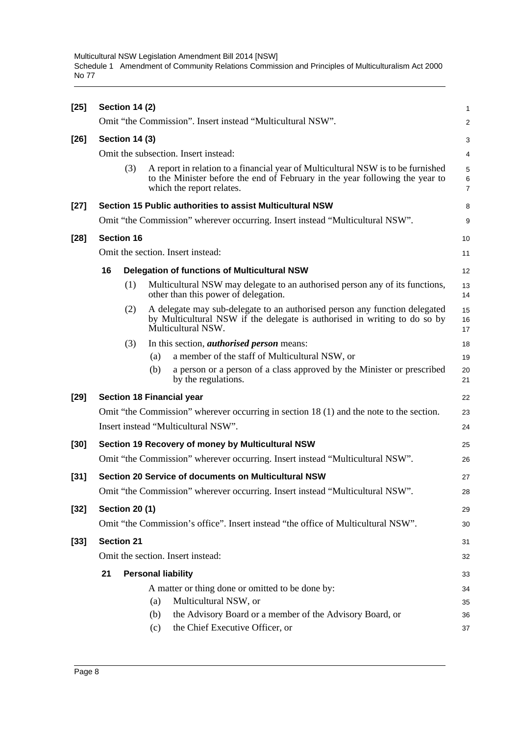Multicultural NSW Legislation Amendment Bill 2014 [NSW] Schedule 1 Amendment of Community Relations Commission and Principles of Multiculturalism Act 2000 No 77

| $[25]$ | <b>Section 14 (2)</b>                |     |     |                                                                                                                                                                                               | 1                                     |  |  |
|--------|--------------------------------------|-----|-----|-----------------------------------------------------------------------------------------------------------------------------------------------------------------------------------------------|---------------------------------------|--|--|
|        |                                      |     |     | Omit "the Commission". Insert instead "Multicultural NSW".                                                                                                                                    | $\overline{2}$                        |  |  |
| $[26]$ | <b>Section 14 (3)</b>                |     |     |                                                                                                                                                                                               | 3                                     |  |  |
|        | Omit the subsection. Insert instead: |     |     |                                                                                                                                                                                               |                                       |  |  |
|        |                                      | (3) |     | A report in relation to a financial year of Multicultural NSW is to be furnished<br>to the Minister before the end of February in the year following the year to<br>which the report relates. | $\sqrt{5}$<br>$\,6$<br>$\overline{7}$ |  |  |
| $[27]$ |                                      |     |     | Section 15 Public authorities to assist Multicultural NSW                                                                                                                                     | 8                                     |  |  |
|        |                                      |     |     | Omit "the Commission" wherever occurring. Insert instead "Multicultural NSW".                                                                                                                 | 9                                     |  |  |
| $[28]$ | <b>Section 16</b>                    |     |     |                                                                                                                                                                                               | 10                                    |  |  |
|        |                                      |     |     | Omit the section. Insert instead:                                                                                                                                                             | 11                                    |  |  |
|        | 16                                   |     |     | <b>Delegation of functions of Multicultural NSW</b>                                                                                                                                           | 12                                    |  |  |
|        |                                      | (1) |     | Multicultural NSW may delegate to an authorised person any of its functions,<br>other than this power of delegation.                                                                          | 13<br>14                              |  |  |
|        |                                      | (2) |     | A delegate may sub-delegate to an authorised person any function delegated<br>by Multicultural NSW if the delegate is authorised in writing to do so by<br>Multicultural NSW.                 | 15<br>16<br>17                        |  |  |
|        |                                      | (3) |     | In this section, <i>authorised person</i> means:                                                                                                                                              | 18                                    |  |  |
|        |                                      |     | (a) | a member of the staff of Multicultural NSW, or                                                                                                                                                | 19                                    |  |  |
|        |                                      |     | (b) | a person or a person of a class approved by the Minister or prescribed<br>by the regulations.                                                                                                 | 20<br>21                              |  |  |
| $[29]$ |                                      |     |     | <b>Section 18 Financial year</b>                                                                                                                                                              | 22                                    |  |  |
|        |                                      |     |     | Omit "the Commission" wherever occurring in section 18 (1) and the note to the section.                                                                                                       | 23                                    |  |  |
|        |                                      |     |     | Insert instead "Multicultural NSW".                                                                                                                                                           | 24                                    |  |  |
| $[30]$ |                                      |     |     | Section 19 Recovery of money by Multicultural NSW                                                                                                                                             | 25                                    |  |  |
|        |                                      |     |     | Omit "the Commission" wherever occurring. Insert instead "Multicultural NSW".                                                                                                                 | 26                                    |  |  |
| $[31]$ |                                      |     |     | <b>Section 20 Service of documents on Multicultural NSW</b>                                                                                                                                   | 27                                    |  |  |
|        |                                      |     |     | Omit "the Commission" wherever occurring. Insert instead "Multicultural NSW"                                                                                                                  | 28                                    |  |  |
| $[32]$ | <b>Section 20 (1)</b>                |     |     |                                                                                                                                                                                               | 29                                    |  |  |
|        |                                      |     |     | Omit "the Commission's office". Insert instead "the office of Multicultural NSW".                                                                                                             | 30                                    |  |  |
| $[33]$ | <b>Section 21</b>                    |     |     |                                                                                                                                                                                               | 31                                    |  |  |
|        |                                      |     |     | Omit the section. Insert instead:                                                                                                                                                             | 32                                    |  |  |
|        | 21                                   |     |     | <b>Personal liability</b>                                                                                                                                                                     | 33                                    |  |  |
|        |                                      |     |     | A matter or thing done or omitted to be done by:                                                                                                                                              | 34                                    |  |  |
|        |                                      |     | (a) | Multicultural NSW, or                                                                                                                                                                         | 35                                    |  |  |
|        |                                      |     | (b) | the Advisory Board or a member of the Advisory Board, or                                                                                                                                      | 36                                    |  |  |
|        |                                      |     | (c) | the Chief Executive Officer, or                                                                                                                                                               | 37                                    |  |  |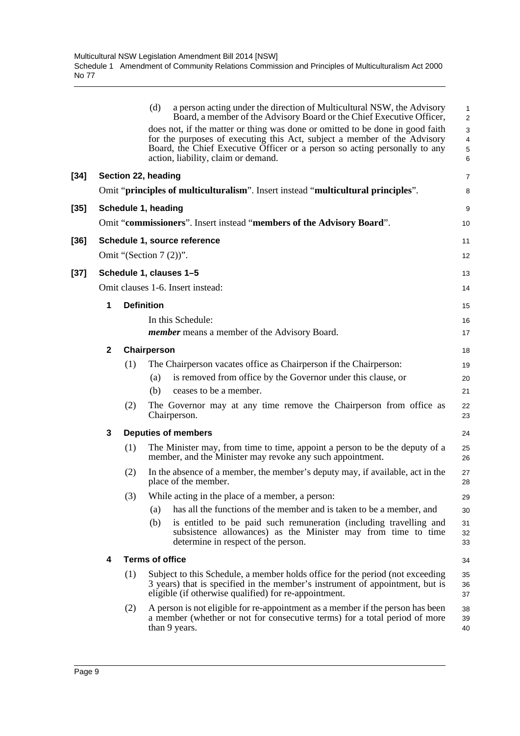|        |              |     | (d)<br>a person acting under the direction of Multicultural NSW, the Advisory<br>Board, a member of the Advisory Board or the Chief Executive Officer,                                                                                                                         | 1<br>$\overline{a}$ |
|--------|--------------|-----|--------------------------------------------------------------------------------------------------------------------------------------------------------------------------------------------------------------------------------------------------------------------------------|---------------------|
|        |              |     | does not, if the matter or thing was done or omitted to be done in good faith<br>for the purposes of executing this Act, subject a member of the Advisory<br>Board, the Chief Executive Officer or a person so acting personally to any<br>action, liability, claim or demand. | 3<br>4<br>5<br>6    |
| $[34]$ |              |     | Section 22, heading                                                                                                                                                                                                                                                            | 7                   |
|        |              |     | Omit "principles of multiculturalism". Insert instead "multicultural principles".                                                                                                                                                                                              | 8                   |
| $[35]$ |              |     | Schedule 1, heading                                                                                                                                                                                                                                                            | 9                   |
|        |              |     | Omit "commissioners". Insert instead "members of the Advisory Board".                                                                                                                                                                                                          | 10                  |
| $[36]$ |              |     | Schedule 1, source reference                                                                                                                                                                                                                                                   | 11                  |
|        |              |     | Omit "(Section $7(2)$ )".                                                                                                                                                                                                                                                      | 12                  |
| $[37]$ |              |     | Schedule 1, clauses 1-5                                                                                                                                                                                                                                                        | 13                  |
|        |              |     | Omit clauses 1-6. Insert instead:                                                                                                                                                                                                                                              | 14                  |
|        | 1            |     | <b>Definition</b>                                                                                                                                                                                                                                                              | 15                  |
|        |              |     | In this Schedule:                                                                                                                                                                                                                                                              | 16                  |
|        |              |     | <i>member</i> means a member of the Advisory Board.                                                                                                                                                                                                                            | 17                  |
|        | $\mathbf{2}$ |     | Chairperson                                                                                                                                                                                                                                                                    | 18                  |
|        |              | (1) | The Chairperson vacates office as Chairperson if the Chairperson:                                                                                                                                                                                                              | 19                  |
|        |              |     | is removed from office by the Governor under this clause, or<br>(a)                                                                                                                                                                                                            | 20                  |
|        |              |     | ceases to be a member.<br>(b)                                                                                                                                                                                                                                                  | 21                  |
|        |              | (2) | The Governor may at any time remove the Chairperson from office as<br>Chairperson.                                                                                                                                                                                             | 22<br>23            |
|        | 3            |     | <b>Deputies of members</b>                                                                                                                                                                                                                                                     | 24                  |
|        |              | (1) | The Minister may, from time to time, appoint a person to be the deputy of a<br>member, and the Minister may revoke any such appointment.                                                                                                                                       | 25<br>26            |
|        |              | (2) | In the absence of a member, the member's deputy may, if available, act in the<br>place of the member.                                                                                                                                                                          | 27<br>28            |
|        |              | (3) | While acting in the place of a member, a person:                                                                                                                                                                                                                               | 29                  |
|        |              |     | has all the functions of the member and is taken to be a member, and<br>(a)                                                                                                                                                                                                    | 30                  |
|        |              |     | (b)<br>is entitled to be paid such remuneration (including travelling and<br>subsistence allowances) as the Minister may from time to time<br>determine in respect of the person.                                                                                              | 31<br>32<br>33      |
|        | 4            |     | <b>Terms of office</b>                                                                                                                                                                                                                                                         | 34                  |
|        |              | (1) | Subject to this Schedule, a member holds office for the period (not exceeding<br>3 years) that is specified in the member's instrument of appointment, but is<br>eligible (if otherwise qualified) for re-appointment.                                                         | 35<br>36<br>37      |
|        |              | (2) | A person is not eligible for re-appointment as a member if the person has been<br>a member (whether or not for consecutive terms) for a total period of more<br>than 9 years.                                                                                                  | 38<br>39<br>40      |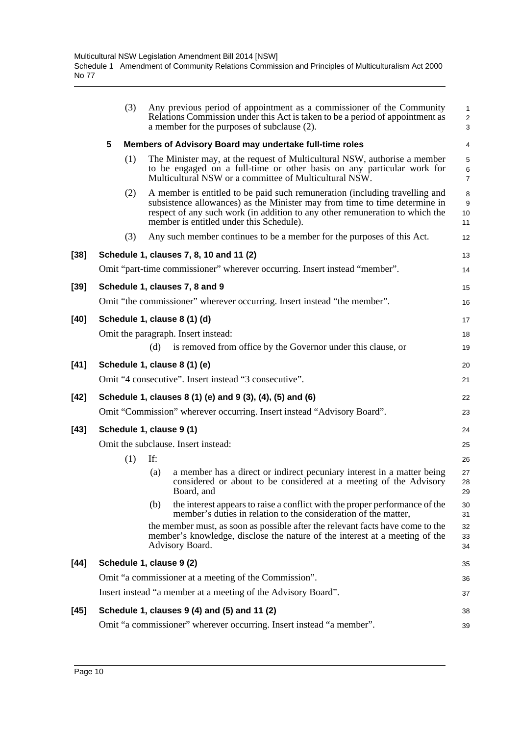|        | (3) | Any previous period of appointment as a commissioner of the Community<br>Relations Commission under this Act is taken to be a period of appointment as<br>a member for the purposes of subclause (2).                                                                                 | 1<br>$\sqrt{2}$<br>$\mathsf 3$           |
|--------|-----|---------------------------------------------------------------------------------------------------------------------------------------------------------------------------------------------------------------------------------------------------------------------------------------|------------------------------------------|
|        | 5   | Members of Advisory Board may undertake full-time roles                                                                                                                                                                                                                               | 4                                        |
|        | (1) | The Minister may, at the request of Multicultural NSW, authorise a member<br>to be engaged on a full-time or other basis on any particular work for<br>Multicultural NSW or a committee of Multicultural NSW.                                                                         | $\mathbf 5$<br>$\,6\,$<br>$\overline{7}$ |
|        | (2) | A member is entitled to be paid such remuneration (including travelling and<br>subsistence allowances) as the Minister may from time to time determine in<br>respect of any such work (in addition to any other remuneration to which the<br>member is entitled under this Schedule). | 8<br>$9\,$<br>10<br>11                   |
|        | (3) | Any such member continues to be a member for the purposes of this Act.                                                                                                                                                                                                                | 12                                       |
| $[38]$ |     | Schedule 1, clauses 7, 8, 10 and 11 (2)                                                                                                                                                                                                                                               | 13                                       |
|        |     | Omit "part-time commissioner" wherever occurring. Insert instead "member".                                                                                                                                                                                                            | 14                                       |
| $[39]$ |     | Schedule 1, clauses 7, 8 and 9                                                                                                                                                                                                                                                        | 15                                       |
|        |     | Omit "the commissioner" wherever occurring. Insert instead "the member".                                                                                                                                                                                                              | 16                                       |
| $[40]$ |     | Schedule 1, clause 8 (1) (d)                                                                                                                                                                                                                                                          | 17                                       |
|        |     | Omit the paragraph. Insert instead:                                                                                                                                                                                                                                                   | 18                                       |
|        |     | is removed from office by the Governor under this clause, or<br>(d)                                                                                                                                                                                                                   | 19                                       |
| $[41]$ |     | Schedule 1, clause 8 (1) (e)                                                                                                                                                                                                                                                          | 20                                       |
|        |     | Omit "4 consecutive". Insert instead "3 consecutive".                                                                                                                                                                                                                                 | 21                                       |
| $[42]$ |     | Schedule 1, clauses 8 (1) (e) and 9 (3), (4), (5) and (6)                                                                                                                                                                                                                             | 22                                       |
|        |     | Omit "Commission" wherever occurring. Insert instead "Advisory Board".                                                                                                                                                                                                                | 23                                       |
| $[43]$ |     | Schedule 1, clause 9 (1)                                                                                                                                                                                                                                                              | 24                                       |
|        |     | Omit the subclause. Insert instead:                                                                                                                                                                                                                                                   | 25                                       |
|        | (1) | If:                                                                                                                                                                                                                                                                                   | 26                                       |
|        |     | a member has a direct or indirect pecuniary interest in a matter being<br>(a)<br>considered or about to be considered at a meeting of the Advisory<br>Board, and                                                                                                                      | 27<br>28<br>29                           |
|        |     | the interest appears to raise a conflict with the proper performance of the<br>(b)<br>member's duties in relation to the consideration of the matter,                                                                                                                                 | 30<br>31                                 |
|        |     | the member must, as soon as possible after the relevant facts have come to the<br>member's knowledge, disclose the nature of the interest at a meeting of the<br>Advisory Board.                                                                                                      | 32<br>33<br>34                           |
| $[44]$ |     | Schedule 1, clause 9 (2)                                                                                                                                                                                                                                                              | 35                                       |
|        |     | Omit "a commissioner at a meeting of the Commission".                                                                                                                                                                                                                                 | 36                                       |
|        |     | Insert instead "a member at a meeting of the Advisory Board".                                                                                                                                                                                                                         | 37                                       |
| $[45]$ |     | Schedule 1, clauses 9 (4) and (5) and 11 (2)                                                                                                                                                                                                                                          | 38                                       |
|        |     | Omit "a commissioner" wherever occurring. Insert instead "a member".                                                                                                                                                                                                                  | 39                                       |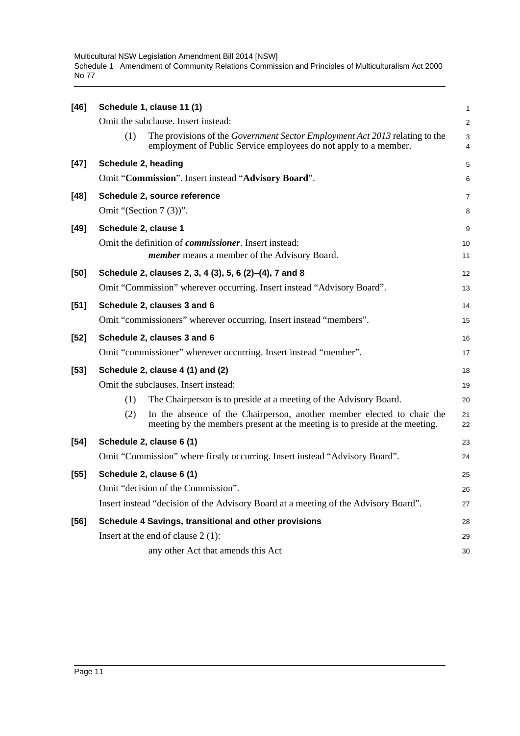Multicultural NSW Legislation Amendment Bill 2014 [NSW] Schedule 1 Amendment of Community Relations Commission and Principles of Multiculturalism Act 2000 No 77

| $[46]$ | Schedule 1, clause 11 (1)                                                                                                                                     |                         |  |  |  |  |  |  |
|--------|---------------------------------------------------------------------------------------------------------------------------------------------------------------|-------------------------|--|--|--|--|--|--|
|        | Omit the subclause. Insert instead:                                                                                                                           | $\overline{\mathbf{c}}$ |  |  |  |  |  |  |
|        | The provisions of the <i>Government Sector Employment Act 2013</i> relating to the<br>(1)<br>employment of Public Service employees do not apply to a member. | 3<br>4                  |  |  |  |  |  |  |
| $[47]$ | Schedule 2, heading                                                                                                                                           | 5                       |  |  |  |  |  |  |
|        | Omit "Commission". Insert instead "Advisory Board".                                                                                                           | 6                       |  |  |  |  |  |  |
| $[48]$ | Schedule 2, source reference                                                                                                                                  | 7                       |  |  |  |  |  |  |
|        | Omit "(Section $7(3)$ )".                                                                                                                                     | 8                       |  |  |  |  |  |  |
| $[49]$ | Schedule 2, clause 1                                                                                                                                          | 9                       |  |  |  |  |  |  |
|        | Omit the definition of <i>commissioner</i> . Insert instead:<br><i>member</i> means a member of the Advisory Board.                                           | 10<br>11                |  |  |  |  |  |  |
| $[50]$ | Schedule 2, clauses 2, 3, 4 (3), 5, 6 (2)–(4), 7 and 8                                                                                                        | 12                      |  |  |  |  |  |  |
|        | Omit "Commission" wherever occurring. Insert instead "Advisory Board".                                                                                        | 13                      |  |  |  |  |  |  |
| $[51]$ | Schedule 2, clauses 3 and 6                                                                                                                                   | 14                      |  |  |  |  |  |  |
|        | Omit "commissioners" wherever occurring. Insert instead "members".                                                                                            | 15                      |  |  |  |  |  |  |
| $[52]$ | Schedule 2, clauses 3 and 6                                                                                                                                   | 16                      |  |  |  |  |  |  |
|        | Omit "commissioner" wherever occurring. Insert instead "member".                                                                                              | 17                      |  |  |  |  |  |  |
| $[53]$ | Schedule 2, clause 4 (1) and (2)                                                                                                                              | 18                      |  |  |  |  |  |  |
|        | Omit the subclauses. Insert instead:                                                                                                                          | 19                      |  |  |  |  |  |  |
|        | The Chairperson is to preside at a meeting of the Advisory Board.<br>(1)                                                                                      | 20                      |  |  |  |  |  |  |
|        | In the absence of the Chairperson, another member elected to chair the<br>(2)<br>meeting by the members present at the meeting is to preside at the meeting.  | 21<br>22                |  |  |  |  |  |  |
| $[54]$ | Schedule 2, clause 6 (1)                                                                                                                                      | 23                      |  |  |  |  |  |  |
|        | Omit "Commission" where firstly occurring. Insert instead "Advisory Board".                                                                                   | 24                      |  |  |  |  |  |  |
| $[55]$ | Schedule 2, clause 6 (1)                                                                                                                                      | 25                      |  |  |  |  |  |  |
|        | Omit "decision of the Commission".                                                                                                                            | 26                      |  |  |  |  |  |  |
|        | Insert instead "decision of the Advisory Board at a meeting of the Advisory Board".                                                                           | 27                      |  |  |  |  |  |  |
| $[56]$ | Schedule 4 Savings, transitional and other provisions                                                                                                         | 28                      |  |  |  |  |  |  |
|        | Insert at the end of clause $2(1)$ :                                                                                                                          | 29                      |  |  |  |  |  |  |
|        | any other Act that amends this Act                                                                                                                            | 30                      |  |  |  |  |  |  |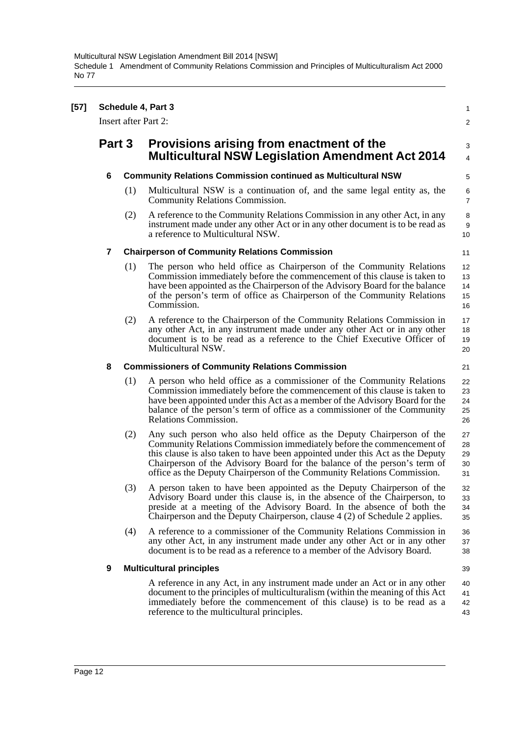| $[57]$ | Schedule 4, Part 3<br><b>Insert after Part 2:</b> |     |                                                                                                                                                                                                                                                                                                                                                                                         |                            |  |  |  |  |  |
|--------|---------------------------------------------------|-----|-----------------------------------------------------------------------------------------------------------------------------------------------------------------------------------------------------------------------------------------------------------------------------------------------------------------------------------------------------------------------------------------|----------------------------|--|--|--|--|--|
|        |                                                   |     |                                                                                                                                                                                                                                                                                                                                                                                         | $\overline{2}$             |  |  |  |  |  |
|        | Part 3                                            |     | Provisions arising from enactment of the<br><b>Multicultural NSW Legislation Amendment Act 2014</b>                                                                                                                                                                                                                                                                                     | 3<br>$\overline{4}$        |  |  |  |  |  |
|        | 6                                                 |     | <b>Community Relations Commission continued as Multicultural NSW</b>                                                                                                                                                                                                                                                                                                                    | 5                          |  |  |  |  |  |
|        |                                                   | (1) | Multicultural NSW is a continuation of, and the same legal entity as, the<br>Community Relations Commission.                                                                                                                                                                                                                                                                            | $\,6$<br>$\overline{7}$    |  |  |  |  |  |
|        |                                                   | (2) | A reference to the Community Relations Commission in any other Act, in any<br>instrument made under any other Act or in any other document is to be read as<br>a reference to Multicultural NSW.                                                                                                                                                                                        | 8<br>9<br>10               |  |  |  |  |  |
|        | 7                                                 |     | <b>Chairperson of Community Relations Commission</b>                                                                                                                                                                                                                                                                                                                                    | 11                         |  |  |  |  |  |
|        |                                                   | (1) | The person who held office as Chairperson of the Community Relations<br>Commission immediately before the commencement of this clause is taken to<br>have been appointed as the Chairperson of the Advisory Board for the balance<br>of the person's term of office as Chairperson of the Community Relations<br>Commission.                                                            | 12<br>13<br>14<br>15<br>16 |  |  |  |  |  |
|        |                                                   | (2) | A reference to the Chairperson of the Community Relations Commission in<br>any other Act, in any instrument made under any other Act or in any other<br>document is to be read as a reference to the Chief Executive Officer of<br>Multicultural NSW.                                                                                                                                   | 17<br>18<br>19<br>20       |  |  |  |  |  |
|        | 8                                                 |     | <b>Commissioners of Community Relations Commission</b>                                                                                                                                                                                                                                                                                                                                  | 21                         |  |  |  |  |  |
|        |                                                   | (1) | A person who held office as a commissioner of the Community Relations<br>Commission immediately before the commencement of this clause is taken to<br>have been appointed under this Act as a member of the Advisory Board for the<br>balance of the person's term of office as a commissioner of the Community<br>Relations Commission.                                                | 22<br>23<br>24<br>25<br>26 |  |  |  |  |  |
|        |                                                   | (2) | Any such person who also held office as the Deputy Chairperson of the<br>Community Relations Commission immediately before the commencement of<br>this clause is also taken to have been appointed under this Act as the Deputy<br>Chairperson of the Advisory Board for the balance of the person's term of<br>office as the Deputy Chairperson of the Community Relations Commission. | 27<br>28<br>29<br>30<br>31 |  |  |  |  |  |
|        |                                                   | (3) | A person taken to have been appointed as the Deputy Chairperson of the<br>Advisory Board under this clause is, in the absence of the Chairperson, to<br>preside at a meeting of the Advisory Board. In the absence of both the<br>Chairperson and the Deputy Chairperson, clause 4 (2) of Schedule 2 applies.                                                                           | 32<br>33<br>34<br>35       |  |  |  |  |  |
|        |                                                   | (4) | A reference to a commissioner of the Community Relations Commission in<br>any other Act, in any instrument made under any other Act or in any other<br>document is to be read as a reference to a member of the Advisory Board.                                                                                                                                                         | 36<br>37<br>38             |  |  |  |  |  |
|        | 9                                                 |     | <b>Multicultural principles</b>                                                                                                                                                                                                                                                                                                                                                         | 39                         |  |  |  |  |  |
|        |                                                   |     | A reference in any Act, in any instrument made under an Act or in any other<br>document to the principles of multiculturalism (within the meaning of this Act<br>immediately before the commencement of this clause) is to be read as a<br>reference to the multicultural principles.                                                                                                   | 40<br>41<br>42<br>43       |  |  |  |  |  |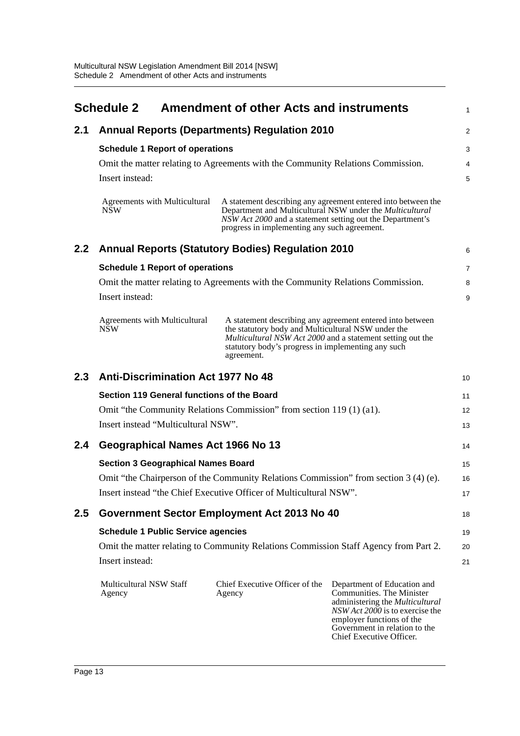<span id="page-16-0"></span>

|     | <b>Schedule 2</b>                                                                                                                                                                                                                                                                                |  | <b>Amendment of other Acts and instruments</b>                                                            |                                                                                                                                                                                                                          | 1 |  |
|-----|--------------------------------------------------------------------------------------------------------------------------------------------------------------------------------------------------------------------------------------------------------------------------------------------------|--|-----------------------------------------------------------------------------------------------------------|--------------------------------------------------------------------------------------------------------------------------------------------------------------------------------------------------------------------------|---|--|
| 2.1 | <b>Annual Reports (Departments) Regulation 2010</b>                                                                                                                                                                                                                                              |  |                                                                                                           |                                                                                                                                                                                                                          |   |  |
|     | <b>Schedule 1 Report of operations</b>                                                                                                                                                                                                                                                           |  |                                                                                                           |                                                                                                                                                                                                                          |   |  |
|     | Omit the matter relating to Agreements with the Community Relations Commission.                                                                                                                                                                                                                  |  |                                                                                                           |                                                                                                                                                                                                                          |   |  |
|     | Insert instead:                                                                                                                                                                                                                                                                                  |  |                                                                                                           |                                                                                                                                                                                                                          |   |  |
|     | Agreements with Multicultural<br><b>NSW</b>                                                                                                                                                                                                                                                      |  | NSW Act 2000 and a statement setting out the Department's<br>progress in implementing any such agreement. | A statement describing any agreement entered into between the<br>Department and Multicultural NSW under the <i>Multicultural</i>                                                                                         |   |  |
| 2.2 | <b>Annual Reports (Statutory Bodies) Regulation 2010</b>                                                                                                                                                                                                                                         |  |                                                                                                           |                                                                                                                                                                                                                          |   |  |
|     | <b>Schedule 1 Report of operations</b>                                                                                                                                                                                                                                                           |  |                                                                                                           |                                                                                                                                                                                                                          |   |  |
|     | Omit the matter relating to Agreements with the Community Relations Commission.                                                                                                                                                                                                                  |  |                                                                                                           |                                                                                                                                                                                                                          |   |  |
|     | Insert instead:                                                                                                                                                                                                                                                                                  |  |                                                                                                           |                                                                                                                                                                                                                          |   |  |
|     | Agreements with Multicultural<br>A statement describing any agreement entered into between<br>the statutory body and Multicultural NSW under the<br><b>NSW</b><br>Multicultural NSW Act 2000 and a statement setting out the<br>statutory body's progress in implementing any such<br>agreement. |  |                                                                                                           |                                                                                                                                                                                                                          |   |  |
| 2.3 | <b>Anti-Discrimination Act 1977 No 48</b>                                                                                                                                                                                                                                                        |  |                                                                                                           |                                                                                                                                                                                                                          |   |  |
|     | Section 119 General functions of the Board                                                                                                                                                                                                                                                       |  |                                                                                                           |                                                                                                                                                                                                                          |   |  |
|     | Omit "the Community Relations Commission" from section 119 (1) (a1).                                                                                                                                                                                                                             |  |                                                                                                           |                                                                                                                                                                                                                          |   |  |
|     | Insert instead "Multicultural NSW".                                                                                                                                                                                                                                                              |  |                                                                                                           |                                                                                                                                                                                                                          |   |  |
| 2.4 | Geographical Names Act 1966 No 13                                                                                                                                                                                                                                                                |  |                                                                                                           |                                                                                                                                                                                                                          |   |  |
|     | <b>Section 3 Geographical Names Board</b>                                                                                                                                                                                                                                                        |  |                                                                                                           |                                                                                                                                                                                                                          |   |  |
|     | Omit "the Chairperson of the Community Relations Commission" from section 3 (4) (e).                                                                                                                                                                                                             |  |                                                                                                           |                                                                                                                                                                                                                          |   |  |
|     | Insert instead "the Chief Executive Officer of Multicultural NSW".                                                                                                                                                                                                                               |  |                                                                                                           |                                                                                                                                                                                                                          |   |  |
| 2.5 | Government Sector Employment Act 2013 No 40                                                                                                                                                                                                                                                      |  |                                                                                                           |                                                                                                                                                                                                                          |   |  |
|     | <b>Schedule 1 Public Service agencies</b>                                                                                                                                                                                                                                                        |  |                                                                                                           |                                                                                                                                                                                                                          |   |  |
|     | Omit the matter relating to Community Relations Commission Staff Agency from Part 2.                                                                                                                                                                                                             |  |                                                                                                           |                                                                                                                                                                                                                          |   |  |
|     | Insert instead:                                                                                                                                                                                                                                                                                  |  |                                                                                                           |                                                                                                                                                                                                                          |   |  |
|     | Multicultural NSW Staff<br>Agency                                                                                                                                                                                                                                                                |  | Chief Executive Officer of the<br>Agency                                                                  | Department of Education and<br>Communities. The Minister<br>administering the Multicultural<br>NSW Act 2000 is to exercise the<br>employer functions of the<br>Government in relation to the<br>Chief Executive Officer. |   |  |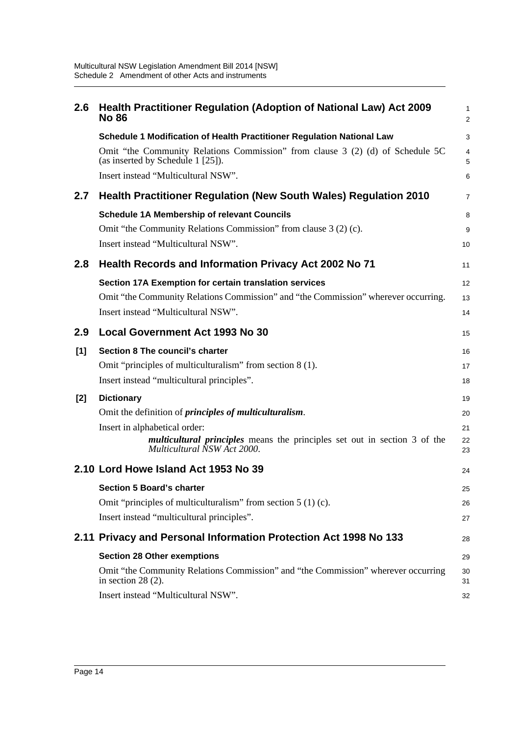| 2.6   | Health Practitioner Regulation (Adoption of National Law) Act 2009<br><b>No 86</b>                                  | 1<br>2   |  |  |  |
|-------|---------------------------------------------------------------------------------------------------------------------|----------|--|--|--|
|       | Schedule 1 Modification of Health Practitioner Regulation National Law                                              | 3        |  |  |  |
|       | Omit "the Community Relations Commission" from clause 3 (2) (d) of Schedule 5C<br>(as inserted by Schedule 1 [25]). | 4<br>5   |  |  |  |
|       | Insert instead "Multicultural NSW".                                                                                 | 6        |  |  |  |
| 2.7   | <b>Health Practitioner Regulation (New South Wales) Regulation 2010</b>                                             | 7        |  |  |  |
|       | <b>Schedule 1A Membership of relevant Councils</b>                                                                  | 8        |  |  |  |
|       | Omit "the Community Relations Commission" from clause 3 (2) (c).                                                    | 9        |  |  |  |
|       | Insert instead "Multicultural NSW".                                                                                 | 10       |  |  |  |
| 2.8   | <b>Health Records and Information Privacy Act 2002 No 71</b>                                                        |          |  |  |  |
|       | Section 17A Exemption for certain translation services                                                              | 12       |  |  |  |
|       | Omit "the Community Relations Commission" and "the Commission" wherever occurring.                                  | 13       |  |  |  |
|       | Insert instead "Multicultural NSW".                                                                                 | 14       |  |  |  |
| 2.9   | <b>Local Government Act 1993 No 30</b>                                                                              | 15       |  |  |  |
| [1]   | Section 8 The council's charter                                                                                     | 16       |  |  |  |
|       | Omit "principles of multiculturalism" from section 8 (1).                                                           | 17       |  |  |  |
|       | Insert instead "multicultural principles".                                                                          | 18       |  |  |  |
| $[2]$ | <b>Dictionary</b>                                                                                                   | 19       |  |  |  |
|       | Omit the definition of <i>principles of multiculturalism</i> .                                                      | 20       |  |  |  |
|       | Insert in alphabetical order:                                                                                       | 21       |  |  |  |
|       | <i>multicultural principles</i> means the principles set out in section 3 of the<br>Multicultural NSW Act 2000.     | 22<br>23 |  |  |  |
|       | 2.10 Lord Howe Island Act 1953 No 39                                                                                | 24       |  |  |  |
|       | <b>Section 5 Board's charter</b>                                                                                    | 25       |  |  |  |
|       | Omit "principles of multiculturalism" from section $5(1)(c)$ .                                                      | 26       |  |  |  |
|       | Insert instead "multicultural principles".                                                                          | 27       |  |  |  |
|       | 2.11 Privacy and Personal Information Protection Act 1998 No 133                                                    |          |  |  |  |
|       | <b>Section 28 Other exemptions</b>                                                                                  |          |  |  |  |
|       | Omit "the Community Relations Commission" and "the Commission" wherever occurring<br>in section $28(2)$ .           |          |  |  |  |
|       | Insert instead "Multicultural NSW".                                                                                 | 32       |  |  |  |